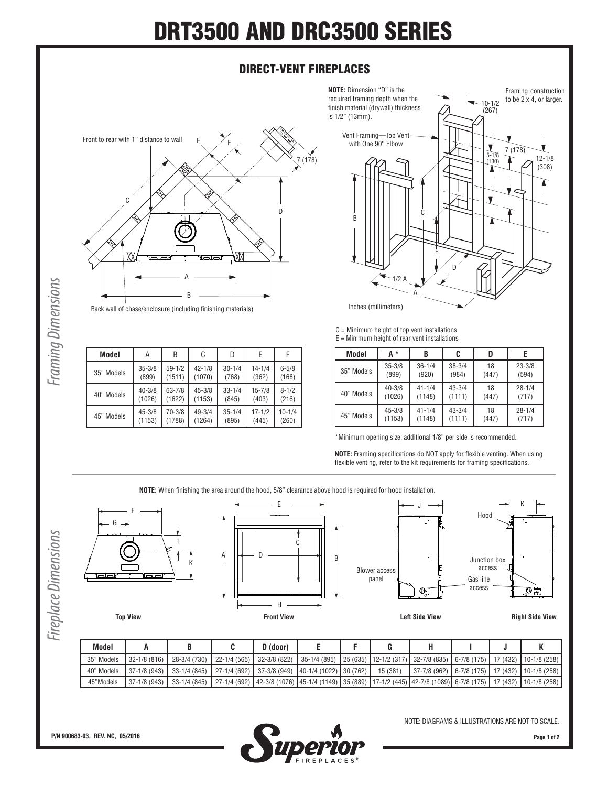## **DRT3500 AND DRC3500 SERIES**

## **DIRECT-VENT FIREPLACES**

**NOTE:** Dimension "D" is the required framing depth when the



**Model** | A | B | C | D | E | F

42-1/8 (1070)

45-3/8 (1153)

49-3/4 (1264) 30-1/4 (768)

33-1/4 (845)

35-1/4 (895)

14-1/4 (362)

15-7/8 (403)

17-1/2 (445)

6-5/8 (168)

8-1/2 (216)

10-1/4 (260)

59-1/2 (1511)

63-7/8 (1622)

70-3/8 (1788)

10-1/2 (267) finish material (drywall) thickness is 1/2" (13mm). Vent Framing—Top Vent with One 90° Elbow J 7 (178) 5-1/8 12-1/8  $(130)$ (308) ٦ C B E D 1/2 A A Inches (millimeters)

C = Minimum height of top vent installations  $E =$  Minimum height of rear vent installations

| Model      | А*         | B          | C          | D     |            |
|------------|------------|------------|------------|-------|------------|
| 35" Models | $35 - 3/8$ | $36 - 1/4$ | $38 - 3/4$ | 18    | $23 - 3/8$ |
|            | (899)      | (920)      | (984)      | (447) | (594)      |
| 40" Models | $40 - 3/8$ | $41 - 1/4$ | $43 - 3/4$ | 18    | $28 - 1/4$ |
|            | (1026)     | (1148)     | (1111)     | (447) | (717)      |
| 45" Models | $45 - 3/8$ | $41 - 1/4$ | $43 - 3/4$ | 18    | $28 - 1/4$ |
|            | (1153)     | (1148)     | (1111)     | (447) | (717)      |

\*Minimum opening size; additional 1/8" per side is recommended.

**NOTE:** Framing specifications do NOT apply for flexible venting. When using flexible venting, refer to the kit requirements for framing specifications.

**NOTE:** When finishing the area around the hood, 5/8" clearance above hood is required for hood installation.

E



Framing construction to be 2 x 4, or larger.

|            |                  |              |              |                   |               |          | panel       | $\Phi_{\!\scriptscriptstyle\rm o}$ . | Gas line<br>access |          | $\mathbb{C}^{\mathbb{C}}$ . |
|------------|------------------|--------------|--------------|-------------------|---------------|----------|-------------|--------------------------------------|--------------------|----------|-----------------------------|
|            | <b>Top View</b>  |              |              | <b>Front View</b> |               |          |             | <b>Left Side View</b>                |                    |          | <b>Right Side View</b>      |
|            | A                | B            | C            | $D$ (door)        | E             | F        | G           | н                                    |                    | J        | K                           |
| Model      |                  |              |              | 32-3/8 (822)      | 35-1/4 (895)  | 25 (635) | 12-1/2 (317 | 32-7/8 (835)                         | $6 - 7/8$ (175)    | 17 (432) | $10-1/8(258)$               |
| 35" Models | $32 - 1/8$ (816) | 28-3/4 (730) | 22-1/4 (565) |                   |               |          |             |                                      |                    |          |                             |
| 40" Models | 37-1/8 (943)     | 33-1/4 (845) | 27-1/4 (692) | 37-3/8 (949)      | 40-1/4 (1022) | 30 (762) | 15 (381)    | 37-7/8 (962)                         | $6 - 7/8$ (175)    | 17 (432) | $10-1/8(258)$               |

Framing Dimensions *Framing Dimensions*

35" Models 35-3/8

40" Models 40-3/8

45" Models 45-3/8

F

G

(899)

(1026)

(1153)

**Page 1 of 2**